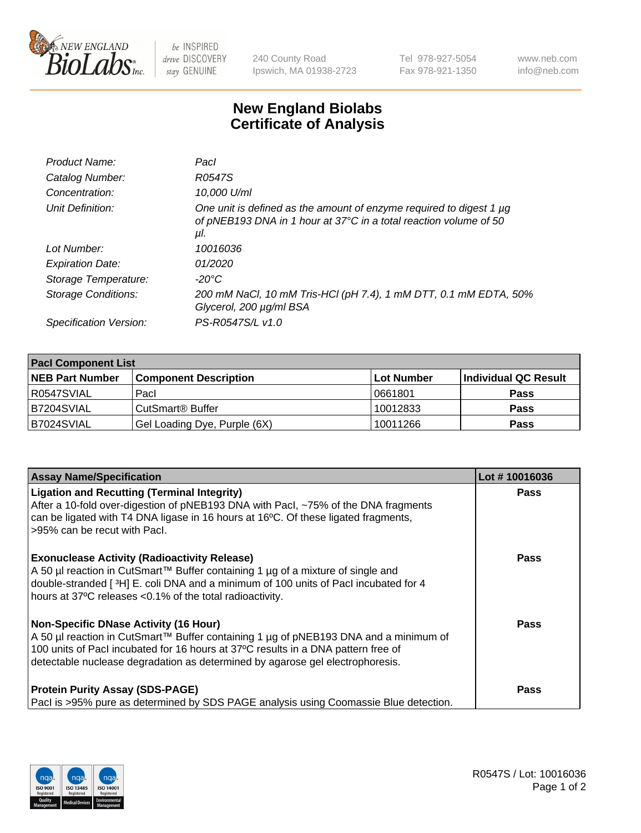

 $be$  INSPIRED drive DISCOVERY stay GENUINE

240 County Road Ipswich, MA 01938-2723 Tel 978-927-5054 Fax 978-921-1350 www.neb.com info@neb.com

## **New England Biolabs Certificate of Analysis**

| Pacl                                                                                                                                            |
|-------------------------------------------------------------------------------------------------------------------------------------------------|
| R0547S                                                                                                                                          |
| 10,000 U/ml                                                                                                                                     |
| One unit is defined as the amount of enzyme required to digest 1 µg<br>of pNEB193 DNA in 1 hour at 37°C in a total reaction volume of 50<br>μI. |
| 10016036                                                                                                                                        |
| 01/2020                                                                                                                                         |
| $-20^{\circ}$ C                                                                                                                                 |
| 200 mM NaCl, 10 mM Tris-HCl (pH 7.4), 1 mM DTT, 0.1 mM EDTA, 50%<br>Glycerol, 200 µg/ml BSA                                                     |
| PS-R0547S/L v1.0                                                                                                                                |
|                                                                                                                                                 |

| <b>Pacl Component List</b> |                              |                   |                      |  |  |
|----------------------------|------------------------------|-------------------|----------------------|--|--|
| <b>NEB Part Number</b>     | <b>Component Description</b> | <b>Lot Number</b> | Individual QC Result |  |  |
| R0547SVIAL                 | Pacl                         | 10661801          | <b>Pass</b>          |  |  |
| B7204SVIAL                 | l CutSmart® Buffer           | 10012833          | <b>Pass</b>          |  |  |
| B7024SVIAL                 | Gel Loading Dye, Purple (6X) | 10011266          | <b>Pass</b>          |  |  |

| <b>Assay Name/Specification</b>                                                                                                                                                                                                                                                                            | Lot #10016036 |
|------------------------------------------------------------------------------------------------------------------------------------------------------------------------------------------------------------------------------------------------------------------------------------------------------------|---------------|
| <b>Ligation and Recutting (Terminal Integrity)</b><br>After a 10-fold over-digestion of pNEB193 DNA with Pacl, ~75% of the DNA fragments<br>can be ligated with T4 DNA ligase in 16 hours at 16°C. Of these ligated fragments,<br>>95% can be recut with Pacl.                                             | <b>Pass</b>   |
| <b>Exonuclease Activity (Radioactivity Release)</b><br>A 50 µl reaction in CutSmart™ Buffer containing 1 µg of a mixture of single and<br>double-stranded [ $3H$ ] E. coli DNA and a minimum of 100 units of Pacl incubated for 4<br>hours at 37°C releases <0.1% of the total radioactivity.              | <b>Pass</b>   |
| <b>Non-Specific DNase Activity (16 Hour)</b><br>A 50 µl reaction in CutSmart™ Buffer containing 1 µg of pNEB193 DNA and a minimum of<br>100 units of PacI incubated for 16 hours at 37°C results in a DNA pattern free of<br>detectable nuclease degradation as determined by agarose gel electrophoresis. | Pass          |
| <b>Protein Purity Assay (SDS-PAGE)</b><br>Pacl is >95% pure as determined by SDS PAGE analysis using Coomassie Blue detection.                                                                                                                                                                             | Pass          |